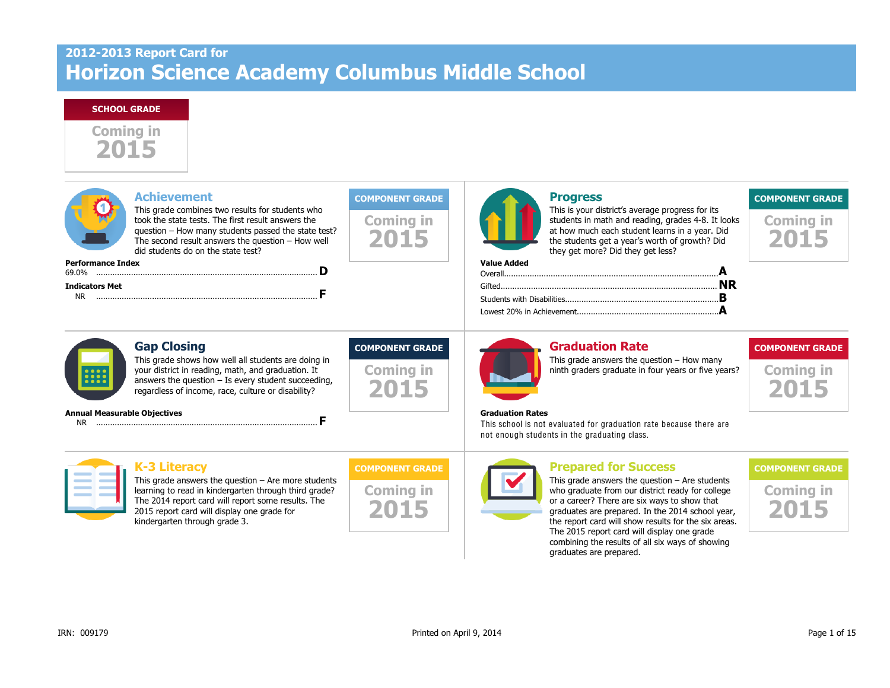# **2012-2013 Report Card for Horizon Science Academy Columbus Middle School**

#### **SCHOOL GRADE**



| <b>Performance Index</b>            | <b>Achievement</b><br>This grade combines two results for students who<br>took the state tests. The first result answers the<br>question - How many students passed the state test?<br>The second result answers the question $-$ How well<br>did students do on the state test? | <b>COMPONENT GRADE</b><br><b>Coming in</b><br>2015 | <b>Value Added</b>      | <b>Progress</b><br>This is your district's average progress for its<br>students in math and reading, grades 4-8. It looks<br>at how much each student learns in a year. Did<br>the students get a year's worth of growth? Did<br>they get more? Did they get less? | <b>COMPONENT GRADE</b><br><b>Coming in</b><br>2015 |
|-------------------------------------|----------------------------------------------------------------------------------------------------------------------------------------------------------------------------------------------------------------------------------------------------------------------------------|----------------------------------------------------|-------------------------|--------------------------------------------------------------------------------------------------------------------------------------------------------------------------------------------------------------------------------------------------------------------|----------------------------------------------------|
|                                     |                                                                                                                                                                                                                                                                                  |                                                    |                         |                                                                                                                                                                                                                                                                    |                                                    |
| <b>Indicators Met</b>               |                                                                                                                                                                                                                                                                                  |                                                    |                         |                                                                                                                                                                                                                                                                    |                                                    |
| $\bullet$ $\bullet$ $\bullet$<br>.  | <b>Gap Closing</b><br>This grade shows how well all students are doing in<br>your district in reading, math, and graduation. It<br>answers the question $-$ Is every student succeeding,<br>regardless of income, race, culture or disability?                                   | <b>COMPONENT GRADE</b><br><b>Coming in</b><br>2015 |                         | <b>Graduation Rate</b><br>This grade answers the question $-$ How many<br>ninth graders graduate in four years or five years?                                                                                                                                      | <b>COMPONENT GRADE</b><br><b>Coming in</b><br>2015 |
| <b>Annual Measurable Objectives</b> |                                                                                                                                                                                                                                                                                  |                                                    | <b>Graduation Rates</b> | This school is not evaluated for graduation rate because there are<br>not enough students in the graduating class.                                                                                                                                                 |                                                    |
|                                     | <b>K-3 Literacy</b>                                                                                                                                                                                                                                                              | <b>COMPONENT GRADE</b>                             |                         | <b>Prepared for Success</b>                                                                                                                                                                                                                                        | <b>COMPONENT GRADE</b>                             |
|                                     | This grade answers the question $-$ Are more students<br>learning to read in kindergarten through third grade?<br>The 2014 report card will report some results. The<br>2015 report card will display one grade for                                                              | <b>Coming in</b>                                   |                         | This grade answers the question $-$ Are students<br>who graduate from our district ready for college<br>or a career? There are six ways to show that<br>graduates are prepared. In the 2014 school year,                                                           | <b>Coming in</b>                                   |

kindergarten through grade 3.

the report card will show results for the six areas. The 2015 report card will display one grade combining the results of all six ways of showing

graduates are prepared.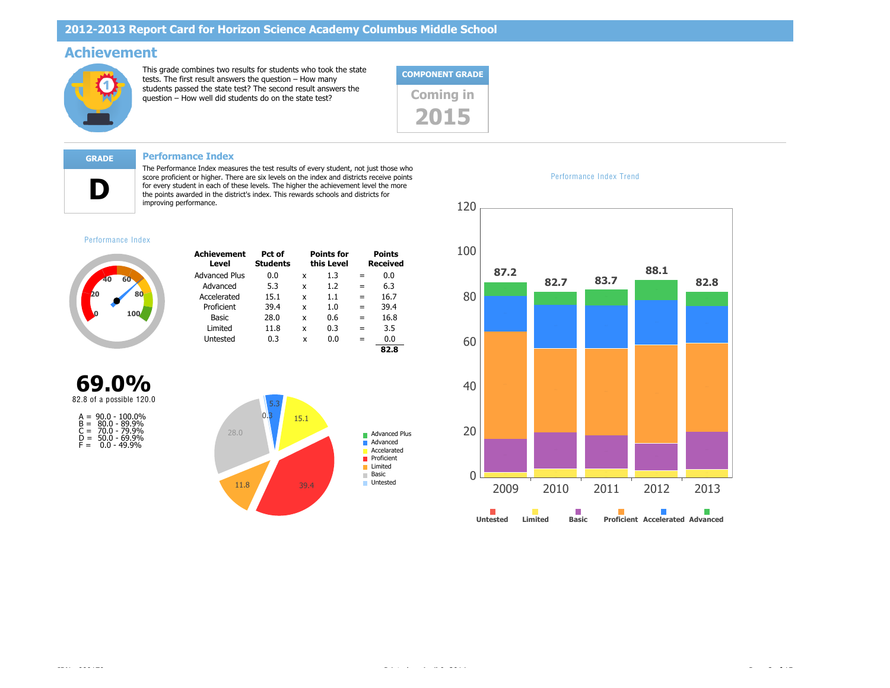## **Achievement**



This grade combines two results for students who took the state tests. The first result answers the question – How many students passed the state test? The second result answers the state its passed the state test? The second result answers the<br>question – How well did students do on the state test?



**D**

**GRADE Performance Index**

The Performance Index measures the test results of every student, not just those who score proficient or higher. There are six levels on the index and districts receive points for every student in each of these levels. The higher the achievement level the more the points awarded in the district's index. This rewards schools and districts for improving performance.

#### Performance Index



| <b>Achievement</b><br>Level | Pct of<br><b>Students</b> |   | <b>Points for</b><br>this Level |     | <b>Points</b><br><b>Received</b> |
|-----------------------------|---------------------------|---|---------------------------------|-----|----------------------------------|
| <b>Advanced Plus</b>        | 0.0                       | x | 1.3                             |     | 0.0                              |
| Advanced                    | 5.3                       | x | 1.2                             | $=$ | 6.3                              |
| Accelerated                 | 15.1                      | x | 1.1                             | $=$ | 16.7                             |
| Proficient                  | 39.4                      | x | 1. $\Omega$                     | $=$ | 39.4                             |
| Basic                       | 28.0                      | x | 0.6                             |     | 16.8                             |
| Limited                     | 11.8                      | x | 0.3                             | $=$ | 3.5                              |
| Untested                    | 0.3                       | x | 0.O                             |     | 0.0                              |
|                             |                           |   |                                 |     | 82.8                             |







Performance Index Trend

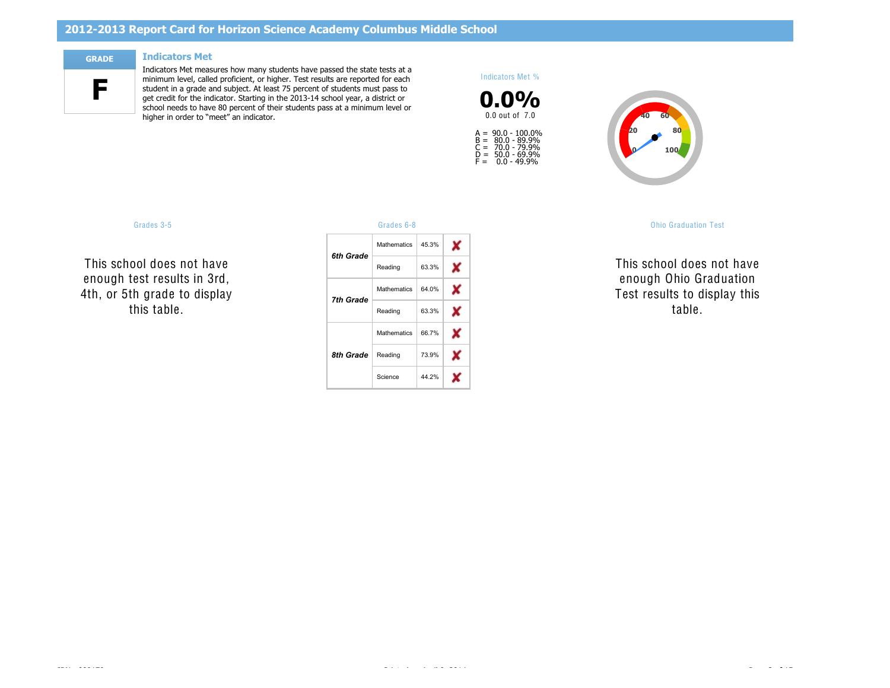## **2012-2013 Report Card for Horizon Science Academy Columbus Middle School**

**F**

#### **GRADE Indicators Met**

Indicators Met measures how many students have passed the state tests at a minimum level, called proficient, or higher. Test results are reported for each student in a grade and subject. At least 75 percent of students must pass to get credit for the indicator. Starting in the 2013-14 school year, a district or school needs to have 80 percent of their students pass at a minimum level or higher in order to "meet" an indicator.

#### Indicators Met %





#### Grades 3-5 Grades 6-8 Ohio Graduation Test

*OGT, 10th Graders* Science auss II enough Ohio Graduation  $\cdots$ Reading Science table. NC NC This school does not have  $\ldots$ Test results to display this

This school do *5th Grade* Reading ννι ι enough test results in 3rd, rn al **NC** This school does not have  $\ddotsc$ 4th, or 5th grade to display this table.

| .         |                    |       |   |
|-----------|--------------------|-------|---|
| 6th Grade | <b>Mathematics</b> | 45.3% | x |
|           | Reading            | 63.3% | x |
| 7th Grade | <b>Mathematics</b> | 64.0% | X |
|           | Reading            | 63.3% | x |
|           | <b>Mathematics</b> | 66.7% | x |
| 8th Grade | Reading            | 73.9% |   |
|           | Science            | 44.2% |   |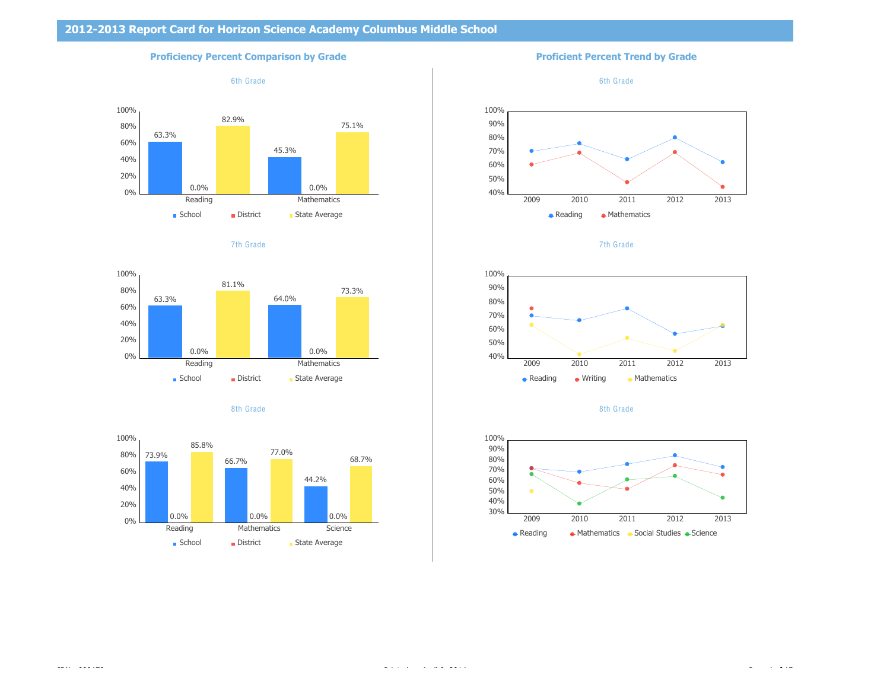#### **Proficiency Percent Comparison by Grade <b>Proficient Percent Trend by Grade Proficient Percent Trend by Grade**















7th Grade



8th Grade

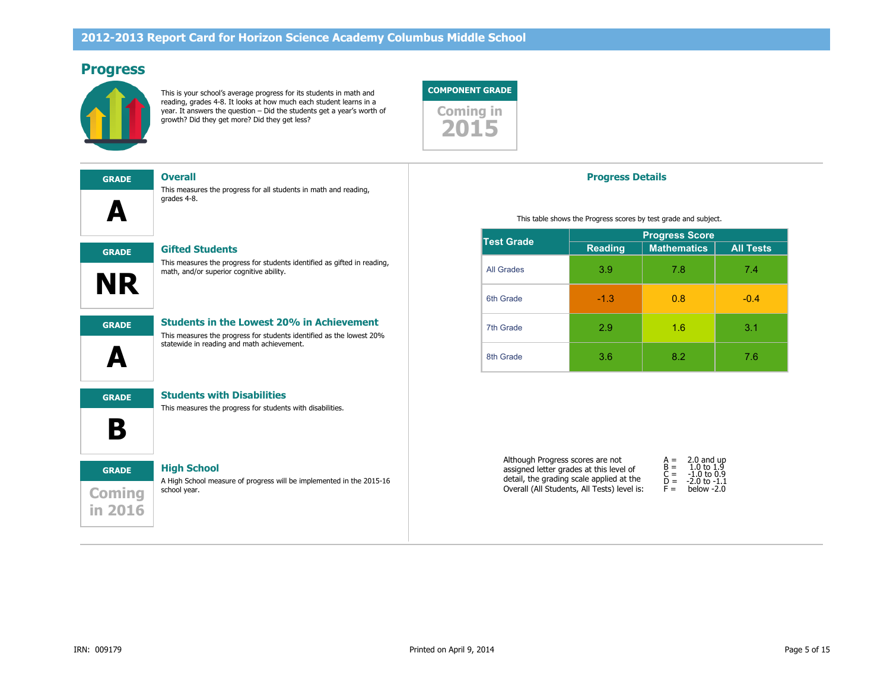## **Progress**



This is your school's average progress for its students in math and reading, grades 4-8. It looks at how much each student learns in a year. It answers the question – Did the students get a year's worth of **Coming in**<br>growth? Did they get more? Did they get less?

This measures the progress for all students in math and reading,

#### **COMPONENT GRADE**



#### **Progress Details**

This table shows the Progress scores by test grade and subject.

| <b>Test Grade</b> | <b>Progress Score</b> |                    |                  |  |  |
|-------------------|-----------------------|--------------------|------------------|--|--|
|                   | <b>Reading</b>        | <b>Mathematics</b> | <b>All Tests</b> |  |  |
| <b>All Grades</b> | 3.9                   | 7.8                | 7.4              |  |  |
| 6th Grade         | $-1.3$                | 0.8                | $-0.4$           |  |  |
| 7th Grade         | 2.9                   | 1.6                | 3.1              |  |  |
| 8th Grade         | 3.6                   | 8.2                | 7.6              |  |  |

|  | <b>Test Grade</b> |
|--|-------------------|
|  |                   |

### **GRADE Gifted Students**

grades 4-8.

**GRADE Overall**

This measures the progress for students identified as gifted in reading, math, and/or superior cognitive ability.



**A**

#### **GRADE Students in the Lowest 20% in Achievement**

This measures the progress for students with disabilities.

This measures the progress for students identified as the lowest 20% statewide in reading and math achievement.

**B GRADE Students with Disabilities**

**A**

# **Coming in 2016 GRADE High School**

A High School measure of progress will be implemented in the 2015-16 school year.

| Although Progress scores are not            | $A =$          | 2.0 and up                  |
|---------------------------------------------|----------------|-----------------------------|
| assigned letter grades at this level of     | $R =$          | 1.0 to 1.9<br>$-1.0$ to 0.9 |
| detail, the grading scale applied at the    | $C =$<br>$D =$ | $-2.0$ to $-1.1$            |
| Overall (All Students, All Tests) level is: | $F =$          | below $-2.0$                |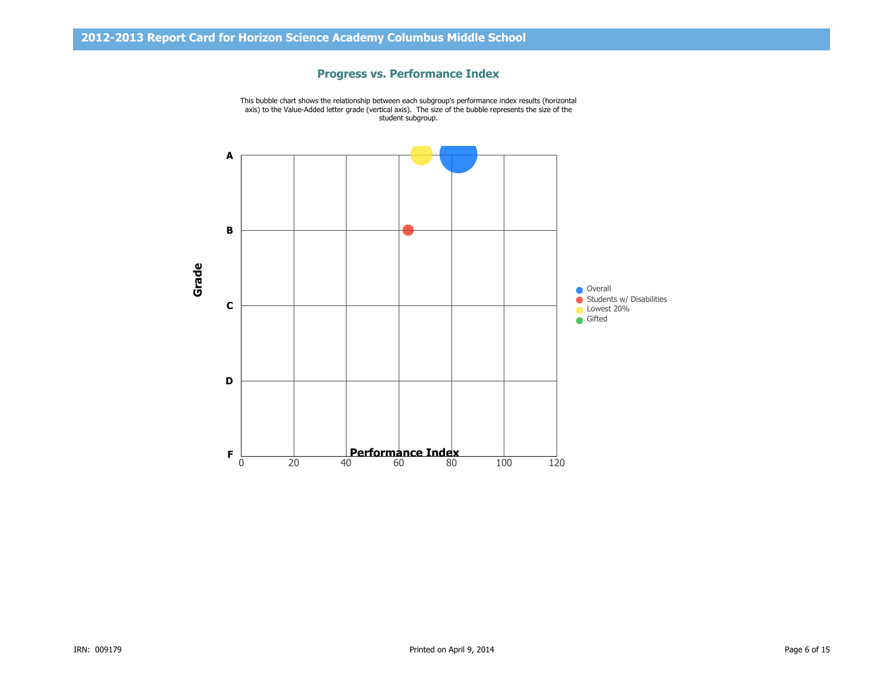#### **Progress vs. Performance Index**

This bubble chart shows the relationship between each subgroup's performance index results (horizontal axis) to the Value-Added letter grade (vertical axis). The size of the bubble represents the size of the student subgroup.

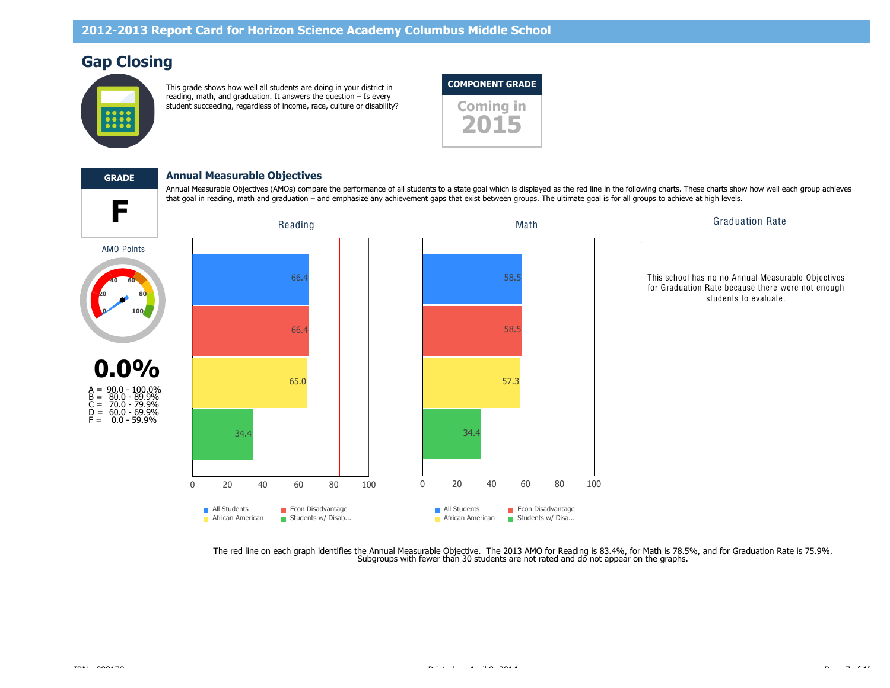# **Gap Closing**



This grade shows how well all students are doing in your district in reading, math, and graduation. It answers the question – Is every student succeeding, regardless of income, race, culture or disability? **Coming in** 



Annual Measurable Objectives (AMOs) compare the performance of all students to a state goal which is displayed as the red line in the following charts. These charts show how well each group achieves

# **GRADE Annual Measurable Objectives**







This school has no no Annual Measurable Objectives for Graduation Rate because there were not enough students to evaluate.

The red line on each graph identifies the Annual Measurable Objective. The 2013 AMO for Reading is 83.4%, for Math is 78.5%, and for Graduation Rate is 75.9%.<br>Subgroups with fewer than 30 students are not rated and do not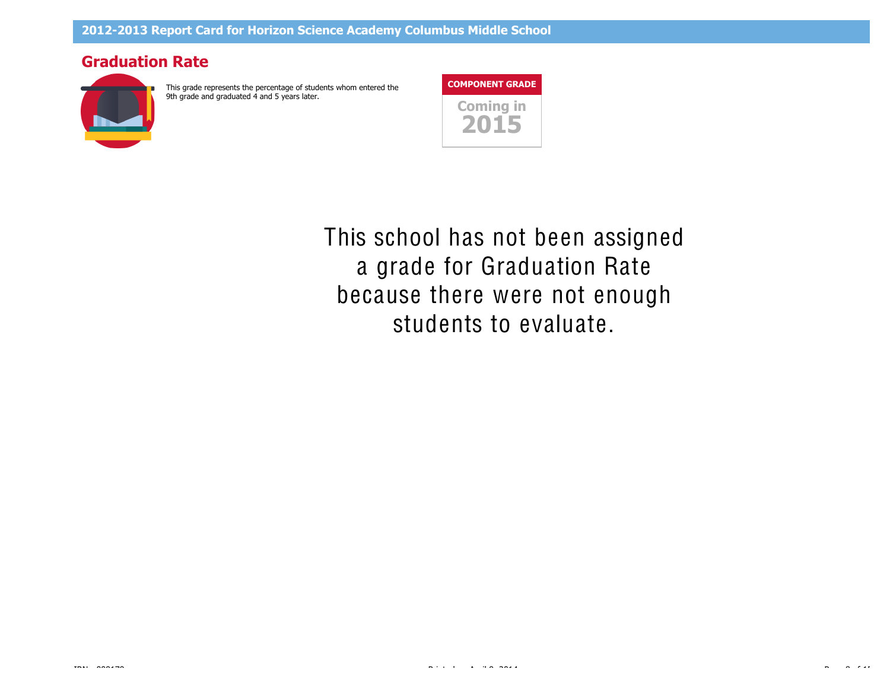## **Graduation Rate**



This grade represents the percentage of students whom entered the 9th grade and graduated 4 and 5 years later.



students to evaluate. because there were not enough a grade for Graduation Rate **20 40 60 80** This school has not been assigned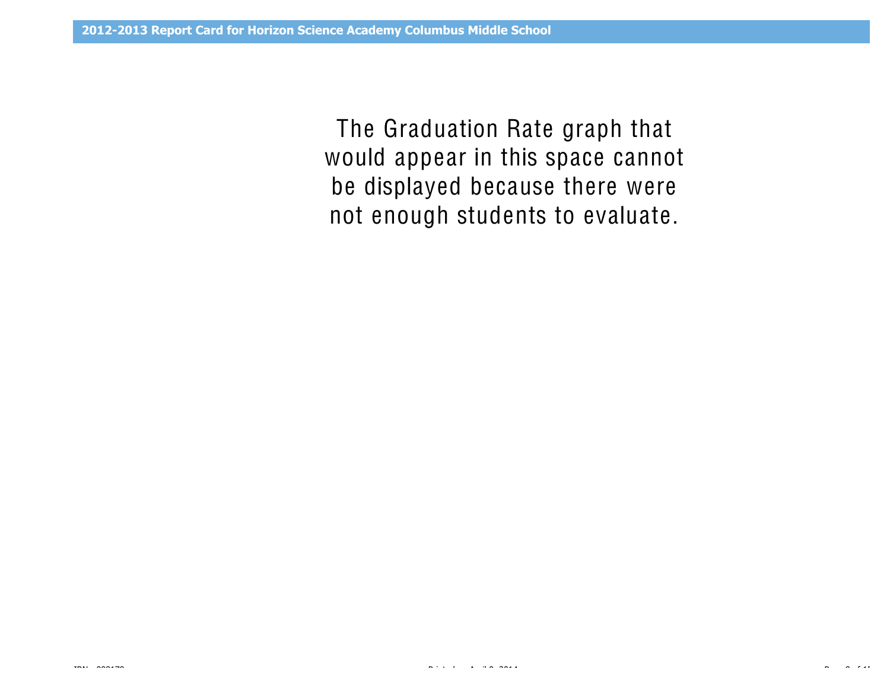would appear in this space cannot The Graduation Rate graph that be displayed because there were not enough students to evaluate.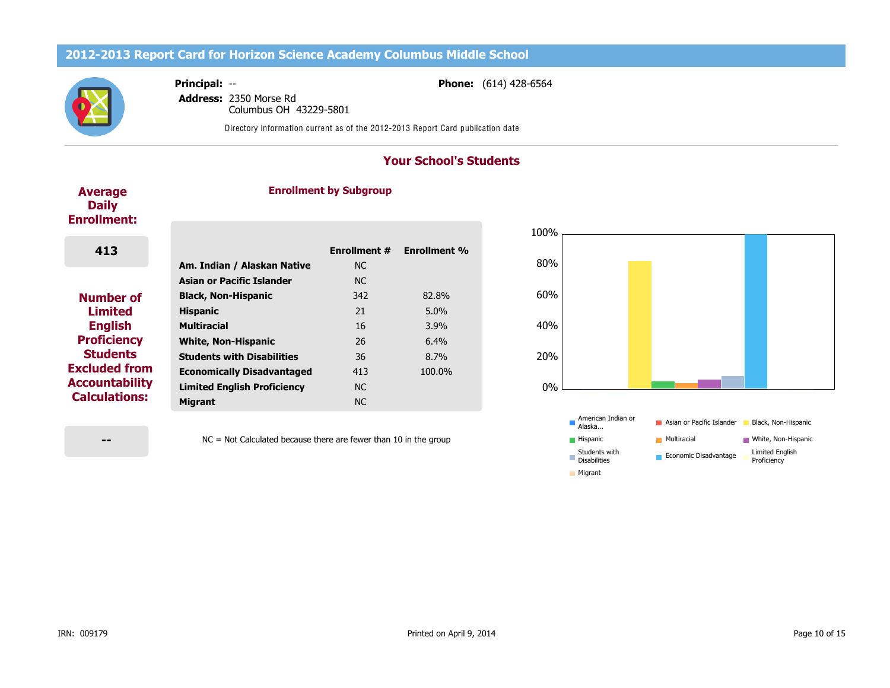# **2012-2013 Report Card for Horizon Science Academy Columbus Middle School**



**Phone:** (614) 428-6564

**Address:** 2350 Morse Rd Columbus OH 43229-5801

**Principal:** --

Directory information current as of the 2012-2013 Report Card publication date

## **Your School's Students**

#### **Average Daily Enrollment:**

#### **Enrollment by Subgroup**

| 413                   |                                                          | <b>Enrollment #</b><br><b>NC</b> | <b>Enrollment %</b> |
|-----------------------|----------------------------------------------------------|----------------------------------|---------------------|
|                       | Am. Indian / Alaskan Native<br>Asian or Pacific Islander | <b>NC</b>                        |                     |
|                       |                                                          |                                  |                     |
| <b>Number of</b>      | <b>Black, Non-Hispanic</b>                               | 342                              | 82.8%               |
| <b>Limited</b>        | <b>Hispanic</b>                                          | 21                               | $5.0\%$             |
| <b>English</b>        | <b>Multiracial</b>                                       | 16                               | 3.9%                |
| <b>Proficiency</b>    | <b>White, Non-Hispanic</b>                               | 26                               | 6.4%                |
| <b>Students</b>       | <b>Students with Disabilities</b>                        | 36                               | 8.7%                |
| <b>Excluded from</b>  | <b>Economically Disadvantaged</b>                        | 413                              | 100.0%              |
| <b>Accountability</b> | <b>Limited English Proficiency</b>                       | <b>NC</b>                        |                     |
| <b>Calculations:</b>  | <b>Migrant</b>                                           | NC.                              |                     |





**--**

NC = Not Calculated because there are fewer than 10 in the group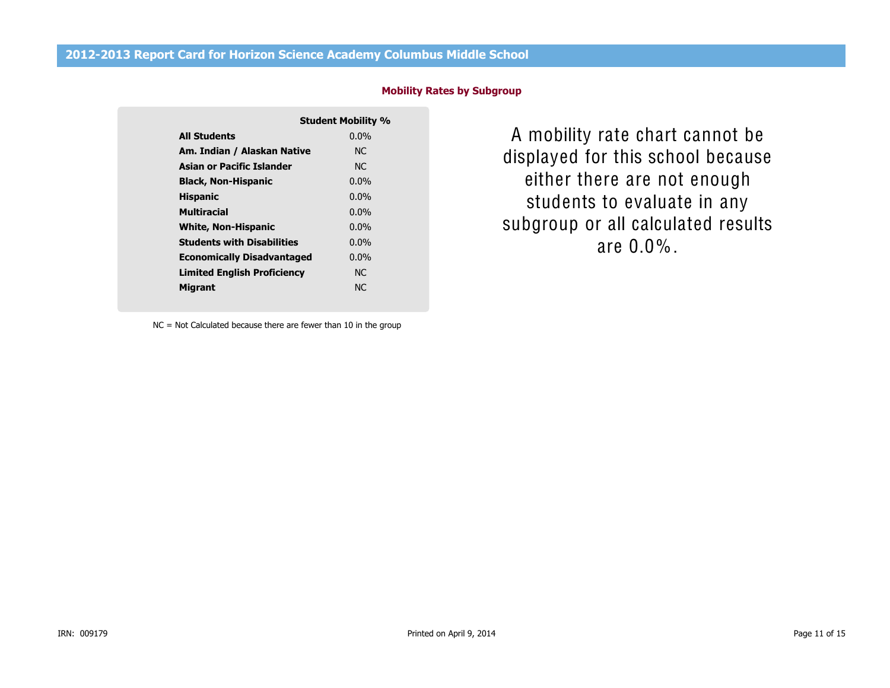|                                    | <b>Student Mobility %</b> |
|------------------------------------|---------------------------|
| <b>All Students</b>                | $0.0\%$                   |
| Am. Indian / Alaskan Native        | NC.                       |
| Asian or Pacific Islander          | NC.                       |
| <b>Black, Non-Hispanic</b>         | $0.0\%$                   |
| <b>Hispanic</b>                    | $0.0\%$                   |
| Multiracial                        | $0.0\%$                   |
| <b>White, Non-Hispanic</b>         | $0.0\%$                   |
| <b>Students with Disabilities</b>  | $0.0\%$                   |
| <b>Economically Disadvantaged</b>  | $0.0\%$                   |
| <b>Limited English Proficiency</b> | NC.                       |
| Migrant                            | N <sub>C</sub>            |

**Mobility Rates by Subgroup**

subgroup or all calculated results displayed for this school because A mobility rate chart cannot be either there are not enough students to evaluate in any are 0.0%.

NC = Not Calculated because there are fewer than 10 in the group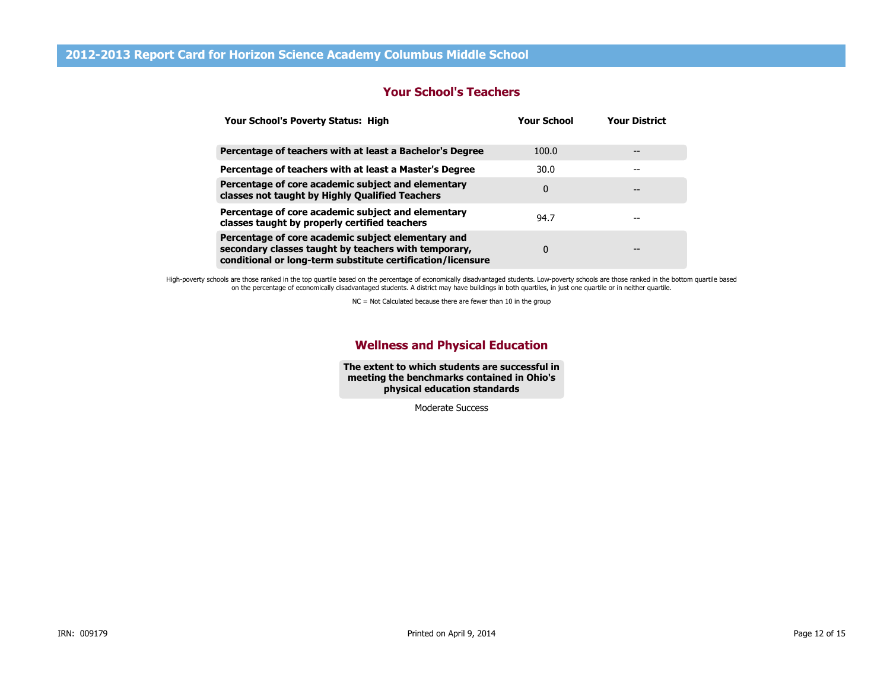### **Your School's Teachers**

| Your School's Poverty Status: High                                                                                                                                        | <b>Your School</b> | <b>Your District</b> |
|---------------------------------------------------------------------------------------------------------------------------------------------------------------------------|--------------------|----------------------|
| Percentage of teachers with at least a Bachelor's Degree                                                                                                                  | 100.0              |                      |
| Percentage of teachers with at least a Master's Degree                                                                                                                    | 30.0               |                      |
| Percentage of core academic subject and elementary<br>classes not taught by Highly Qualified Teachers                                                                     | 0                  | --                   |
| Percentage of core academic subject and elementary<br>classes taught by properly certified teachers                                                                       | 94.7               |                      |
| Percentage of core academic subject elementary and<br>secondary classes taught by teachers with temporary,<br>conditional or long-term substitute certification/licensure | 0                  | --                   |

High-poverty schools are those ranked in the top quartile based on the percentage of economically disadvantaged students. Low-poverty schools are those ranked in the bottom quartile based on the percentage of economically disadvantaged students. A district may have buildings in both quartiles, in just one quartile or in neither quartile.

NC = Not Calculated because there are fewer than 10 in the group

#### **Wellness and Physical Education**

**The extent to which students are successful in meeting the benchmarks contained in Ohio's physical education standards**

Moderate Success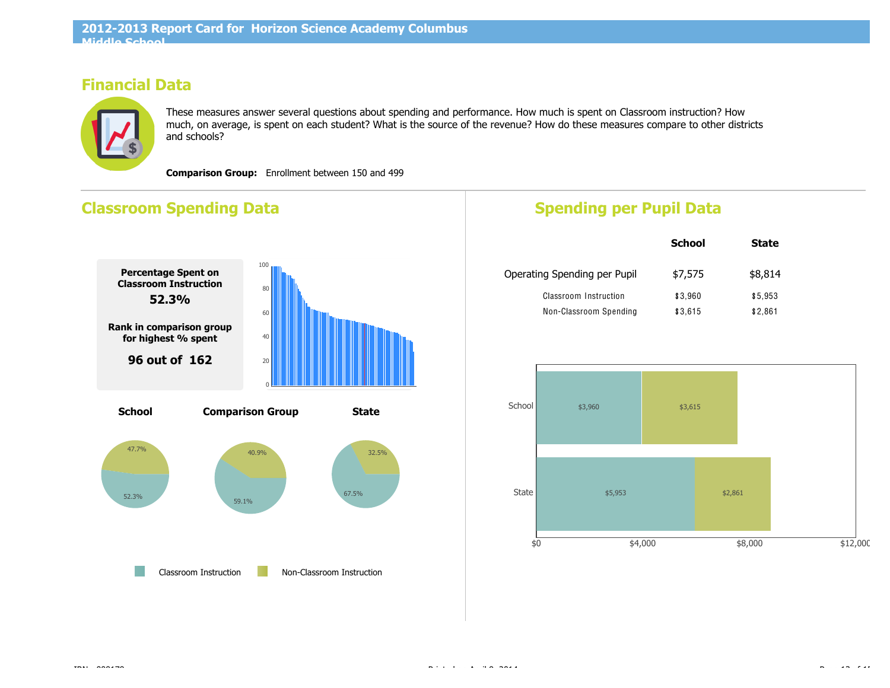# **Financial Data**



These measures answer several questions about spending and performance. How much is spent on Classroom instruction? How much, on average, is spent on each student? What is the source of the revenue? How do these measures compare to other districts and schools?

**Comparison Group:** Enrollment between 150 and 499

# **Classroom Spending Data**



# **Spending per Pupil Data**

|                              | <b>School</b> | <b>State</b> |
|------------------------------|---------------|--------------|
| Operating Spending per Pupil | \$7,575       | \$8,814      |
| Classroom Instruction        | \$3,960       | \$5,953      |
| Non-Classroom Spending       | \$3,615       | \$2,861      |

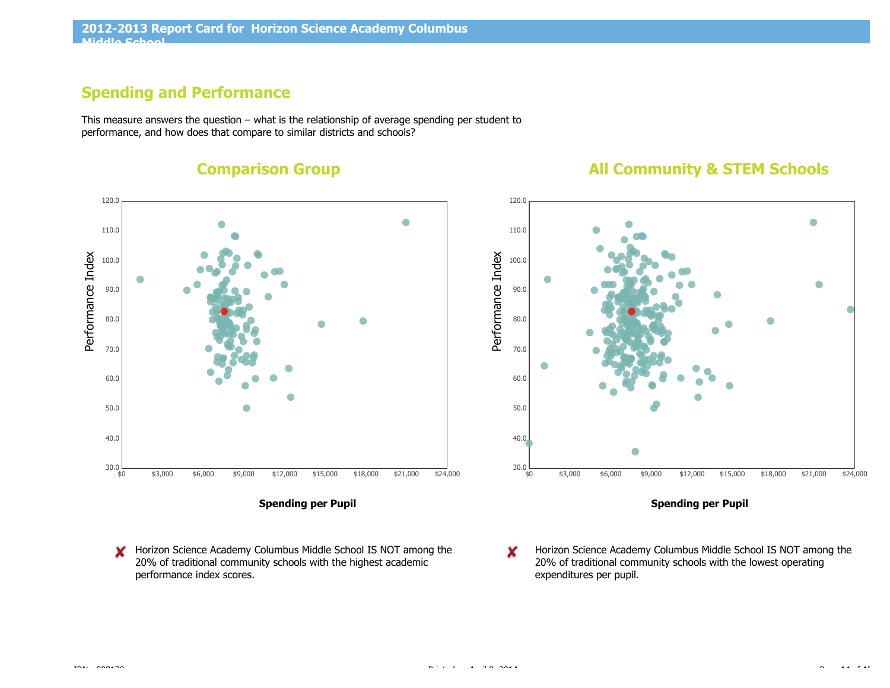# **Spending and Performance**

This measure answers the question – what is the relationship of average spending per student to performance, and how does that compare to similar districts and schools?



**Comparison Group**

**All Community & STEM Schools**



**Spending per Pupil**

- Horizon Science Academy Columbus Middle School IS NOT among the × 20% of traditional community schools with the highest academic performance index scores.
- Horizon Science Academy Columbus Middle School IS NOT among the × 20% of traditional community schools with the lowest operating expenditures per pupil.